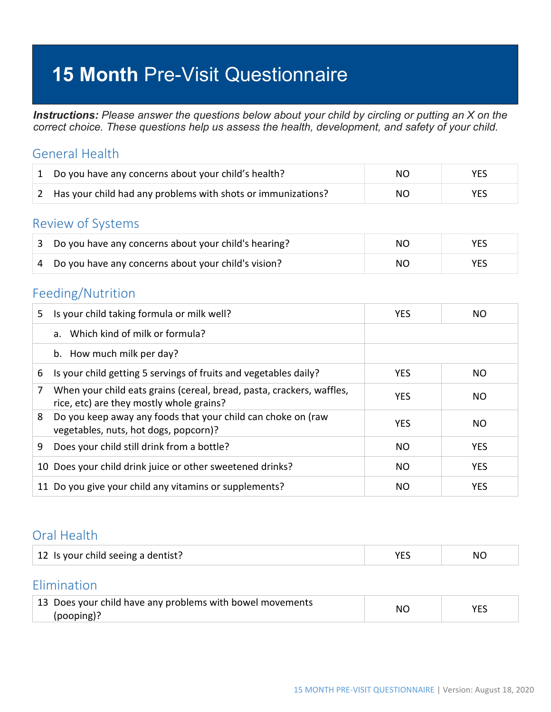# **15 Month** Pre-Visit Questionnaire

*Instructions: Please answer the questions below about your child by circling or putting an X on the correct choice. These questions help us assess the health, development, and safety of your child.*

#### General Health

| 1 Do you have any concerns about your child's health?          | NO. | <b>YES</b> |
|----------------------------------------------------------------|-----|------------|
| 2 Has your child had any problems with shots or immunizations? | NO. | YES        |

#### Review of Systems

| 3 Do you have any concerns about your child's hearing? | NO. | <b>YES</b> |
|--------------------------------------------------------|-----|------------|
| 4 Do you have any concerns about your child's vision?  | NO. | YFS        |

## Feeding/Nutrition

| 5. | Is your child taking formula or milk well?                                                                        | <b>YES</b> | NO.        |
|----|-------------------------------------------------------------------------------------------------------------------|------------|------------|
|    | a. Which kind of milk or formula?                                                                                 |            |            |
|    | b. How much milk per day?                                                                                         |            |            |
| 6  | Is your child getting 5 servings of fruits and vegetables daily?                                                  | <b>YES</b> | NO         |
|    | When your child eats grains (cereal, bread, pasta, crackers, waffles,<br>rice, etc) are they mostly whole grains? | <b>YES</b> | NO.        |
| 8  | Do you keep away any foods that your child can choke on (raw<br>vegetables, nuts, hot dogs, popcorn)?             | <b>YES</b> | NO.        |
| 9  | Does your child still drink from a bottle?                                                                        | <b>NO</b>  | <b>YES</b> |
|    | 10 Does your child drink juice or other sweetened drinks?                                                         | <b>NO</b>  | <b>YES</b> |
|    | 11 Do you give your child any vitamins or supplements?                                                            | NO.        | <b>YES</b> |

#### Oral Health

| 12 Is your child seeing a dentist? | NI |
|------------------------------------|----|
|                                    |    |

### Elimination

| 13 Does your child have any problems with bowel movements | NС |  |
|-----------------------------------------------------------|----|--|
| (pooping)?                                                |    |  |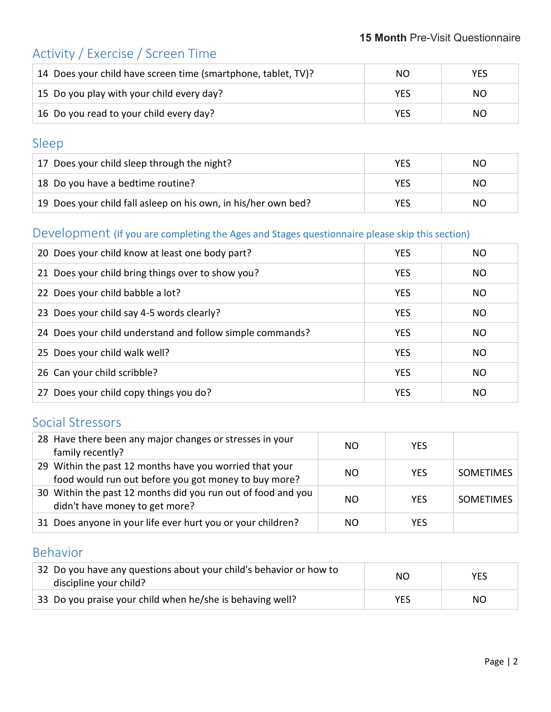## Activity / Exercise / Screen Time

| 14 Does your child have screen time (smartphone, tablet, TV)? | NO. | YES |
|---------------------------------------------------------------|-----|-----|
| 15 Do you play with your child every day?                     | YES | NO. |
| 16 Do you read to your child every day?                       | YES | NO. |

## Sleep

| 17 Does your child sleep through the night?                    | <b>YES</b> | NO. |
|----------------------------------------------------------------|------------|-----|
| 18 Do you have a bedtime routine?                              | YES        | NO. |
| 19 Does your child fall asleep on his own, in his/her own bed? | YES        | NO. |

#### Development (If you are completing the Ages and Stages questionnaire please skip this section)

| 20 Does your child know at least one body part?           | <b>YES</b> | NΟ  |
|-----------------------------------------------------------|------------|-----|
| 21 Does your child bring things over to show you?         | <b>YES</b> | NO. |
| 22 Does your child babble a lot?                          | <b>YES</b> | NO. |
| 23 Does your child say 4-5 words clearly?                 | <b>YES</b> | NO  |
| 24 Does your child understand and follow simple commands? | <b>YES</b> | NO. |
| 25 Does your child walk well?                             | <b>YES</b> | NO. |
| 26 Can your child scribble?                               | <b>YES</b> | NO. |
| 27 Does your child copy things you do?                    | <b>YES</b> | NO. |

### Social Stressors

| 28 Have there been any major changes or stresses in your<br>family recently?                                    | NO. | <b>YFS</b> |                  |
|-----------------------------------------------------------------------------------------------------------------|-----|------------|------------------|
| 29 Within the past 12 months have you worried that your<br>food would run out before you got money to buy more? | NO. | <b>YFS</b> | <b>SOMETIMES</b> |
| 30 Within the past 12 months did you run out of food and you<br>didn't have money to get more?                  | NΟ  | <b>YFS</b> | <b>SOMETIMES</b> |
| 31 Does anyone in your life ever hurt you or your children?                                                     | NO. | YFS        |                  |

## Behavior

| 32 Do you have any questions about your child's behavior or how to<br>discipline your child? | ΝO  | <b>YES</b> |
|----------------------------------------------------------------------------------------------|-----|------------|
| 33 Do you praise your child when he/she is behaving well?                                    | YES | NO.        |